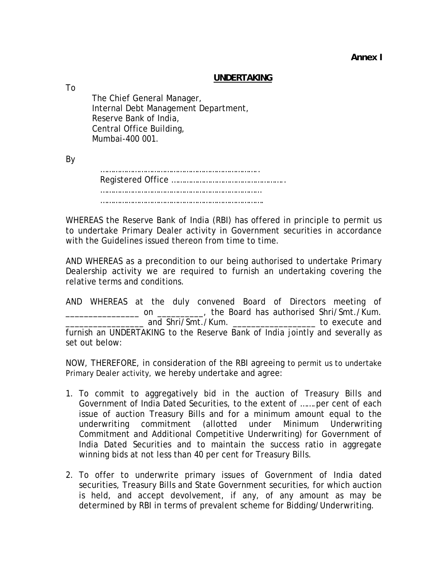## **UNDERTAKING**

To

The Chief General Manager, Internal Debt Management Department, Reserve Bank of India, Central Office Building, Mumbai-400 001.

By

 ……………………………………………………………….. Registered Office …………………………………………….. ………………………………………………………………… ………………………………………………………………….

WHEREAS the Reserve Bank of India (RBI) has offered in principle to permit us to undertake Primary Dealer activity in Government securities in accordance with the Guidelines issued thereon from time to time.

AND WHEREAS as a precondition to our being authorised to undertake Primary Dealership activity we are required to furnish an undertaking covering the relative terms and conditions.

AND WHEREAS at the duly convened Board of Directors meeting of \_\_\_\_\_\_\_\_\_\_\_\_\_\_\_\_ on \_\_\_\_\_\_\_\_\_\_, the Board has authorised Shri/Smt./Kum. and Shri/Smt./Kum. \_\_\_\_\_\_\_\_\_\_\_\_\_\_\_\_\_\_\_\_ to execute and furnish an UNDERTAKING to the Reserve Bank of India jointly and severally as set out below:

NOW, THEREFORE, in consideration of the RBI agreeing to permit us to undertake Primary Dealer activity, we hereby undertake and agree:

- 1. To commit to aggregatively bid in the auction of Treasury Bills and Government of India Dated Securities, to the extent of …….per cent of each issue of auction Treasury Bills and for a minimum amount equal to the underwriting commitment (allotted under Minimum Underwriting Commitment and Additional Competitive Underwriting) for Government of India Dated Securities and to maintain the success ratio in aggregate winning bids at not less than 40 per cent for Treasury Bills.
- 2. To offer to underwrite primary issues of Government of India dated securities, Treasury Bills and State Government securities, for which auction is held, and accept devolvement, if any, of any amount as may be determined by RBI in terms of prevalent scheme for Bidding/Underwriting.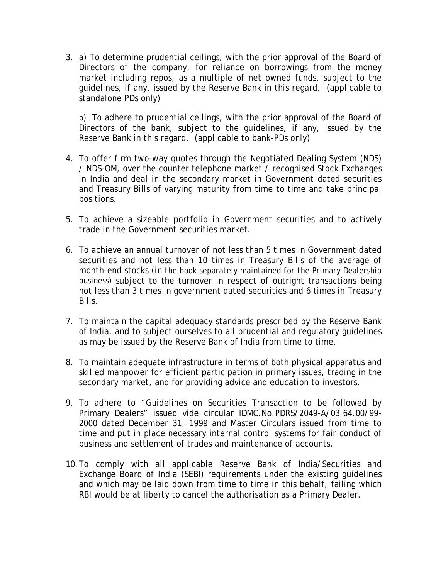3. a) To determine prudential ceilings, with the prior approval of the Board of Directors of the company, for reliance on borrowings from the money market including repos, as a multiple of net owned funds, subject to the guidelines, if any, issued by the Reserve Bank in this regard. (applicable to standalone PDs only)

b) To adhere to prudential ceilings, with the prior approval of the Board of Directors of the bank, subject to the guidelines, if any, issued by the Reserve Bank in this regard. (applicable to bank-PDs only)

- 4. To offer firm two-way quotes through the Negotiated Dealing System (NDS) / NDS-OM, over the counter telephone market / recognised Stock Exchanges in India and deal in the secondary market in Government dated securities and Treasury Bills of varying maturity from time to time and take principal positions.
- 5. To achieve a sizeable portfolio in Government securities and to actively trade in the Government securities market.
- 6. To achieve an annual turnover of not less than 5 times in Government dated securities and not less than 10 times in Treasury Bills of the average of month-end stocks (*in the book separately maintained for the Primary Dealership business)* subject to the turnover in respect of outright transactions being not less than 3 times in government dated securities and 6 times in Treasury Bills.
- 7. To maintain the capital adequacy standards prescribed by the Reserve Bank of India, and to subject ourselves to all prudential and regulatory guidelines as may be issued by the Reserve Bank of India from time to time.
- 8. To maintain adequate infrastructure in terms of both physical apparatus and skilled manpower for efficient participation in primary issues, trading in the secondary market, and for providing advice and education to investors.
- 9. To adhere to "Guidelines on Securities Transaction to be followed by Primary Dealers" issued vide circular IDMC.No.PDRS/2049-A/03.64.00/99- 2000 dated December 31, 1999 and Master Circulars issued from time to time and put in place necessary internal control systems for fair conduct of business and settlement of trades and maintenance of accounts.
- 10.To comply with all applicable Reserve Bank of India/Securities and Exchange Board of India (SEBI) requirements under the existing guidelines and which may be laid down from time to time in this behalf, failing which RBI would be at liberty to cancel the authorisation as a Primary Dealer.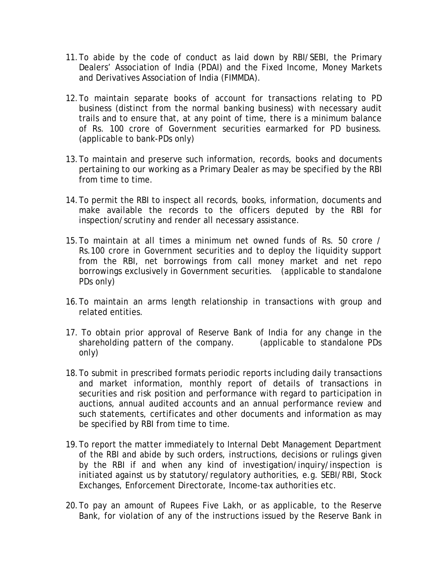- 11.To abide by the code of conduct as laid down by RBI/SEBI, the Primary Dealers' Association of India (PDAI) and the Fixed Income, Money Markets and Derivatives Association of India (FIMMDA).
- 12.To maintain separate books of account for transactions relating to PD business (distinct from the normal banking business) with necessary audit trails and to ensure that, at any point of time, there is a minimum balance of Rs. 100 crore of Government securities earmarked for PD business. (applicable to bank-PDs only)
- 13.To maintain and preserve such information, records, books and documents pertaining to our working as a Primary Dealer as may be specified by the RBI from time to time.
- 14.To permit the RBI to inspect all records, books, information, documents and make available the records to the officers deputed by the RBI for inspection/scrutiny and render all necessary assistance.
- 15.To maintain at all times a minimum net owned funds of Rs. 50 crore / Rs.100 crore in Government securities and to deploy the liquidity support from the RBI, net borrowings from call money market and net repo borrowings exclusively in Government securities. (applicable to standalone PDs only)
- 16.To maintain an arms length relationship in transactions with group and related entities.
- 17. To obtain prior approval of Reserve Bank of India for any change in the shareholding pattern of the company. (applicable to standalone PDs only)
- 18.To submit in prescribed formats periodic reports including daily transactions and market information, monthly report of details of transactions in securities and risk position and performance with regard to participation in auctions, annual audited accounts and an annual performance review and such statements, certificates and other documents and information as may be specified by RBI from time to time.
- 19.To report the matter immediately to Internal Debt Management Department of the RBI and abide by such orders, instructions, decisions or rulings given by the RBI if and when any kind of investigation/inquiry/inspection is initiated against us by statutory/regulatory authorities, e.g. SEBI/RBI, Stock Exchanges, Enforcement Directorate, Income-tax authorities etc.
- 20.To pay an amount of Rupees Five Lakh, or as applicable, to the Reserve Bank, for violation of any of the instructions issued by the Reserve Bank in